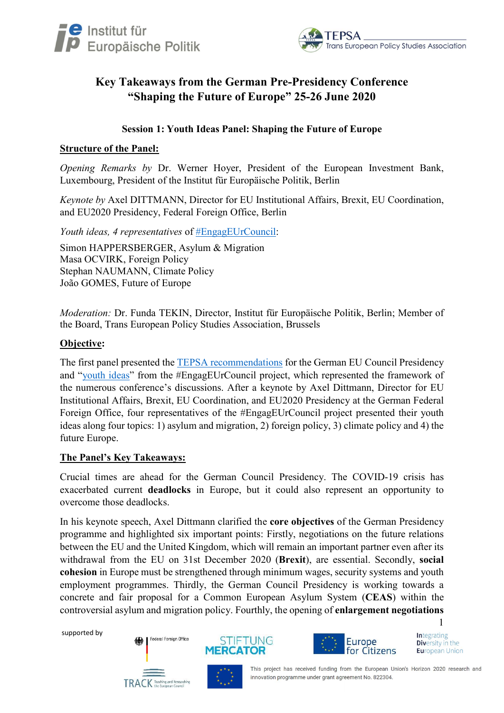



# Key Takeaways from the German Pre-Presidency Conference "Shaping the Future of Europe" 25-26 June 2020

## Session 1: Youth Ideas Panel: Shaping the Future of Europe

#### Structure of the Panel:

Opening Remarks by Dr. Werner Hoyer, President of the European Investment Bank, Luxembourg, President of the Institut für Europäische Politik, Berlin

Keynote by Axel DITTMANN, Director for EU Institutional Affairs, Brexit, EU Coordination, and EU2020 Presidency, Federal Foreign Office, Berlin

Youth ideas, 4 representatives of #EngagEUrCouncil:

Simon HAPPERSBERGER, Asylum & Migration Masa OCVIRK, Foreign Policy Stephan NAUMANN, Climate Policy João GOMES, Future of Europe

Moderation: Dr. Funda TEKIN, Director, Institut für Europäische Politik, Berlin; Member of the Board, Trans European Policy Studies Association, Brussels

### Objective:

The first panel presented the TEPSA recommendations for the German EU Council Presidency and "youth ideas" from the #EngagEUrCouncil project, which represented the framework of the numerous conference's discussions. After a keynote by Axel Dittmann, Director for EU Institutional Affairs, Brexit, EU Coordination, and EU2020 Presidency at the German Federal Foreign Office, four representatives of the #EngagEUrCouncil project presented their youth ideas along four topics: 1) asylum and migration, 2) foreign policy, 3) climate policy and 4) the future Europe.

#### The Panel's Key Takeaways:

Crucial times are ahead for the German Council Presidency. The COVID-19 crisis has exacerbated current deadlocks in Europe, but it could also represent an opportunity to overcome those deadlocks.

In his keynote speech, Axel Dittmann clarified the core objectives of the German Presidency programme and highlighted six important points: Firstly, negotiations on the future relations between the EU and the United Kingdom, which will remain an important partner even after its withdrawal from the EU on 31st December 2020 (Brexit), are essential. Secondly, social cohesion in Europe must be strengthened through minimum wages, security systems and youth employment programmes. Thirdly, the German Council Presidency is working towards a concrete and fair proposal for a Common European Asylum System (CEAS) within the controversial asylum and migration policy. Fourthly, the opening of enlargement negotiations

supported by







**Integrating** Diversity in the **European Union** 

1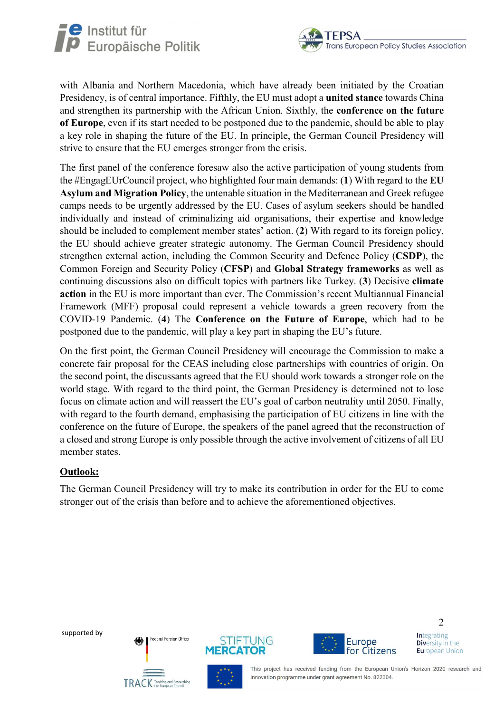



with Albania and Northern Macedonia, which have already been initiated by the Croatian Presidency, is of central importance. Fifthly, the EU must adopt a united stance towards China and strengthen its partnership with the African Union. Sixthly, the conference on the future of Europe, even if its start needed to be postponed due to the pandemic, should be able to play a key role in shaping the future of the EU. In principle, the German Council Presidency will strive to ensure that the EU emerges stronger from the crisis.

The first panel of the conference foresaw also the active participation of young students from the #EngagEUrCouncil project, who highlighted four main demands: (1) With regard to the EU Asylum and Migration Policy, the untenable situation in the Mediterranean and Greek refugee camps needs to be urgently addressed by the EU. Cases of asylum seekers should be handled individually and instead of criminalizing aid organisations, their expertise and knowledge should be included to complement member states' action. (2) With regard to its foreign policy, the EU should achieve greater strategic autonomy. The German Council Presidency should strengthen external action, including the Common Security and Defence Policy (CSDP), the Common Foreign and Security Policy (CFSP) and Global Strategy frameworks as well as continuing discussions also on difficult topics with partners like Turkey. (3) Decisive climate action in the EU is more important than ever. The Commission's recent Multiannual Financial Framework (MFF) proposal could represent a vehicle towards a green recovery from the COVID-19 Pandemic. (4) The Conference on the Future of Europe, which had to be postponed due to the pandemic, will play a key part in shaping the EU's future.

On the first point, the German Council Presidency will encourage the Commission to make a concrete fair proposal for the CEAS including close partnerships with countries of origin. On the second point, the discussants agreed that the EU should work towards a stronger role on the world stage. With regard to the third point, the German Presidency is determined not to lose focus on climate action and will reassert the EU's goal of carbon neutrality until 2050. Finally, with regard to the fourth demand, emphasising the participation of EU citizens in line with the conference on the future of Europe, the speakers of the panel agreed that the reconstruction of a closed and strong Europe is only possible through the active involvement of citizens of all EU member states.

## Outlook:

The German Council Presidency will try to make its contribution in order for the EU to come stronger out of the crisis than before and to achieve the aforementioned objectives.

supported by







**Integrating Diversity in the European Union** 

This project has received funding from the European Union's Horizon 2020 research and innovation programme under grant agreement No. 822304.

2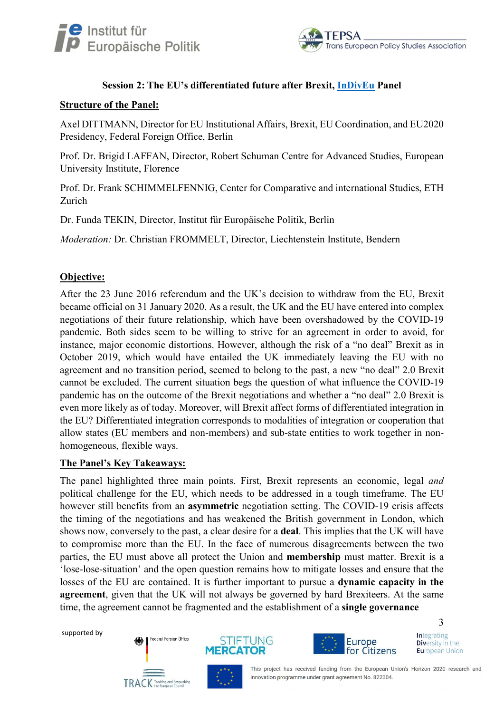



## Session 2: The EU's differentiated future after Brexit, **InDivEu Panel**

#### Structure of the Panel:

Axel DITTMANN, Director for EU Institutional Affairs, Brexit, EU Coordination, and EU2020 Presidency, Federal Foreign Office, Berlin

Prof. Dr. Brigid LAFFAN, Director, Robert Schuman Centre for Advanced Studies, European University Institute, Florence

Prof. Dr. Frank SCHIMMELFENNIG, Center for Comparative and international Studies, ETH Zurich

Dr. Funda TEKIN, Director, Institut für Europäische Politik, Berlin

Moderation: Dr. Christian FROMMELT, Director, Liechtenstein Institute, Bendern

## Objective:

After the 23 June 2016 referendum and the UK's decision to withdraw from the EU, Brexit became official on 31 January 2020. As a result, the UK and the EU have entered into complex negotiations of their future relationship, which have been overshadowed by the COVID-19 pandemic. Both sides seem to be willing to strive for an agreement in order to avoid, for instance, major economic distortions. However, although the risk of a "no deal" Brexit as in October 2019, which would have entailed the UK immediately leaving the EU with no agreement and no transition period, seemed to belong to the past, a new "no deal" 2.0 Brexit cannot be excluded. The current situation begs the question of what influence the COVID-19 pandemic has on the outcome of the Brexit negotiations and whether a "no deal" 2.0 Brexit is even more likely as of today. Moreover, will Brexit affect forms of differentiated integration in the EU? Differentiated integration corresponds to modalities of integration or cooperation that allow states (EU members and non-members) and sub-state entities to work together in nonhomogeneous, flexible ways.

#### The Panel's Key Takeaways:

The panel highlighted three main points. First, Brexit represents an economic, legal and political challenge for the EU, which needs to be addressed in a tough timeframe. The EU however still benefits from an asymmetric negotiation setting. The COVID-19 crisis affects the timing of the negotiations and has weakened the British government in London, which shows now, conversely to the past, a clear desire for a deal. This implies that the UK will have to compromise more than the EU. In the face of numerous disagreements between the two parties, the EU must above all protect the Union and membership must matter. Brexit is a 'lose-lose-situation' and the open question remains how to mitigate losses and ensure that the losses of the EU are contained. It is further important to pursue a dynamic capacity in the agreement, given that the UK will not always be governed by hard Brexiteers. At the same time, the agreement cannot be fragmented and the establishment of a single governance

supported by







**Integrating** Diversity in the

**European Union** 

3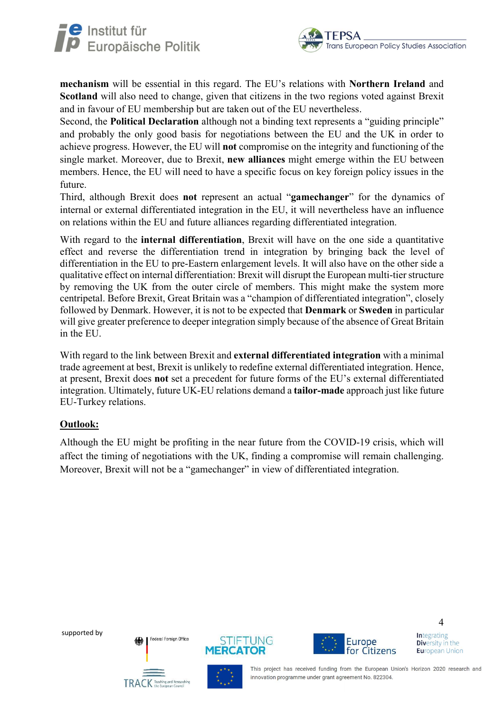



mechanism will be essential in this regard. The EU's relations with Northern Ireland and Scotland will also need to change, given that citizens in the two regions voted against Brexit and in favour of EU membership but are taken out of the EU nevertheless.

Second, the **Political Declaration** although not a binding text represents a "guiding principle" and probably the only good basis for negotiations between the EU and the UK in order to achieve progress. However, the EU will not compromise on the integrity and functioning of the single market. Moreover, due to Brexit, new alliances might emerge within the EU between members. Hence, the EU will need to have a specific focus on key foreign policy issues in the future.

Third, although Brexit does not represent an actual "gamechanger" for the dynamics of internal or external differentiated integration in the EU, it will nevertheless have an influence on relations within the EU and future alliances regarding differentiated integration.

With regard to the internal differentiation, Brexit will have on the one side a quantitative effect and reverse the differentiation trend in integration by bringing back the level of differentiation in the EU to pre-Eastern enlargement levels. It will also have on the other side a qualitative effect on internal differentiation: Brexit will disrupt the European multi-tier structure by removing the UK from the outer circle of members. This might make the system more centripetal. Before Brexit, Great Britain was a "champion of differentiated integration", closely followed by Denmark. However, it is not to be expected that Denmark or Sweden in particular will give greater preference to deeper integration simply because of the absence of Great Britain in the EU.

With regard to the link between Brexit and **external differentiated integration** with a minimal trade agreement at best, Brexit is unlikely to redefine external differentiated integration. Hence, at present, Brexit does not set a precedent for future forms of the EU's external differentiated integration. Ultimately, future UK-EU relations demand a tailor-made approach just like future EU-Turkey relations.

## Outlook:

Although the EU might be profiting in the near future from the COVID-19 crisis, which will affect the timing of negotiations with the UK, finding a compromise will remain challenging. Moreover, Brexit will not be a "gamechanger" in view of differentiated integration.

supported by







**Integrating** Diversity in the **European Union** 

4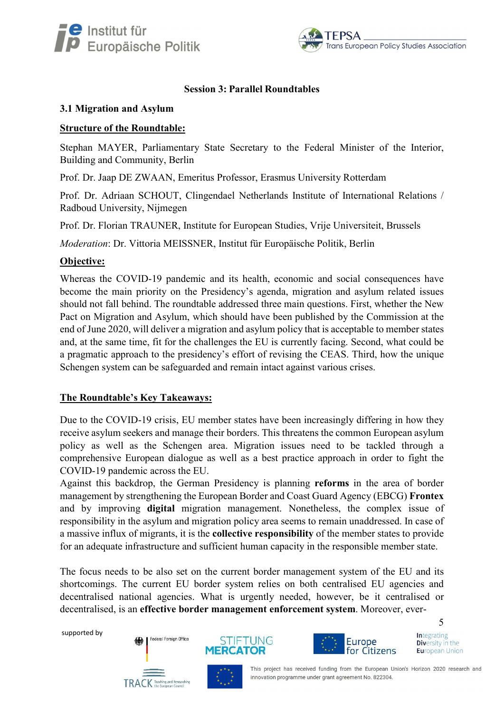



## Session 3: Parallel Roundtables

### 3.1 Migration and Asylum

### Structure of the Roundtable:

Stephan MAYER, Parliamentary State Secretary to the Federal Minister of the Interior, Building and Community, Berlin

Prof. Dr. Jaap DE ZWAAN, Emeritus Professor, Erasmus University Rotterdam

Prof. Dr. Adriaan SCHOUT, Clingendael Netherlands Institute of International Relations / Radboud University, Nijmegen

Prof. Dr. Florian TRAUNER, Institute for European Studies, Vrije Universiteit, Brussels

Moderation: Dr. Vittoria MEISSNER, Institut für Europäische Politik, Berlin

### Objective:

Whereas the COVID-19 pandemic and its health, economic and social consequences have become the main priority on the Presidency's agenda, migration and asylum related issues should not fall behind. The roundtable addressed three main questions. First, whether the New Pact on Migration and Asylum, which should have been published by the Commission at the end of June 2020, will deliver a migration and asylum policy that is acceptable to member states and, at the same time, fit for the challenges the EU is currently facing. Second, what could be a pragmatic approach to the presidency's effort of revising the CEAS. Third, how the unique Schengen system can be safeguarded and remain intact against various crises.

## The Roundtable's Key Takeaways:

Due to the COVID-19 crisis, EU member states have been increasingly differing in how they receive asylum seekers and manage their borders. This threatens the common European asylum policy as well as the Schengen area. Migration issues need to be tackled through a comprehensive European dialogue as well as a best practice approach in order to fight the COVID-19 pandemic across the EU.

Against this backdrop, the German Presidency is planning reforms in the area of border management by strengthening the European Border and Coast Guard Agency (EBCG) Frontex and by improving digital migration management. Nonetheless, the complex issue of responsibility in the asylum and migration policy area seems to remain unaddressed. In case of a massive influx of migrants, it is the collective responsibility of the member states to provide for an adequate infrastructure and sufficient human capacity in the responsible member state.

The focus needs to be also set on the current border management system of the EU and its shortcomings. The current EU border system relies on both centralised EU agencies and decentralised national agencies. What is urgently needed, however, be it centralised or decentralised, is an effective border management enforcement system. Moreover, ever-

supported by







**Integrating** Diversity in the **European Union** 

5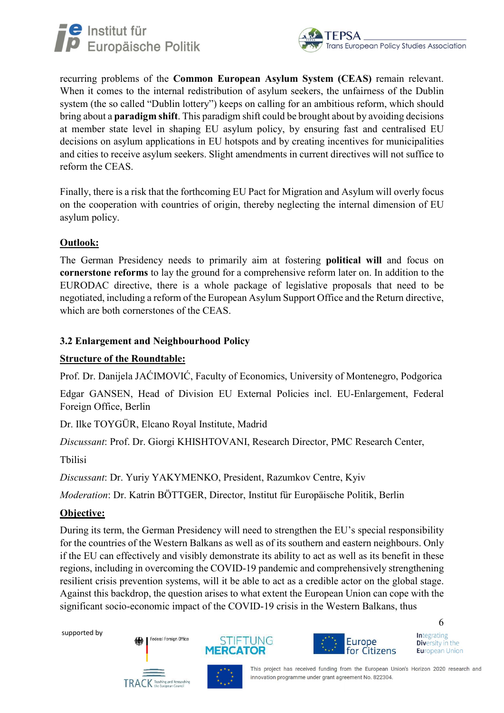



recurring problems of the Common European Asylum System (CEAS) remain relevant. When it comes to the internal redistribution of asylum seekers, the unfairness of the Dublin system (the so called "Dublin lottery") keeps on calling for an ambitious reform, which should bring about a paradigm shift. This paradigm shift could be brought about by avoiding decisions at member state level in shaping EU asylum policy, by ensuring fast and centralised EU decisions on asylum applications in EU hotspots and by creating incentives for municipalities and cities to receive asylum seekers. Slight amendments in current directives will not suffice to reform the CEAS.

Finally, there is a risk that the forthcoming EU Pact for Migration and Asylum will overly focus on the cooperation with countries of origin, thereby neglecting the internal dimension of EU asylum policy.

## Outlook:

The German Presidency needs to primarily aim at fostering political will and focus on cornerstone reforms to lay the ground for a comprehensive reform later on. In addition to the EURODAC directive, there is a whole package of legislative proposals that need to be negotiated, including a reform of the European Asylum Support Office and the Return directive, which are both cornerstones of the CEAS.

## 3.2 Enlargement and Neighbourhood Policy

## Structure of the Roundtable:

Prof. Dr. Danijela JAĆIMOVIĆ, Faculty of Economics, University of Montenegro, Podgorica

Edgar GANSEN, Head of Division EU External Policies incl. EU-Enlargement, Federal Foreign Office, Berlin

Dr. Ilke TOYGÜR, Elcano Royal Institute, Madrid

Discussant: Prof. Dr. Giorgi KHISHTOVANI, Research Director, PMC Research Center,

Tbilisi

Discussant: Dr. Yuriy YAKYMENKO, President, Razumkov Centre, Kyiv

Moderation: Dr. Katrin BÖTTGER, Director, Institut für Europäische Politik, Berlin

## Objective:

During its term, the German Presidency will need to strengthen the EU's special responsibility for the countries of the Western Balkans as well as of its southern and eastern neighbours. Only if the EU can effectively and visibly demonstrate its ability to act as well as its benefit in these regions, including in overcoming the COVID-19 pandemic and comprehensively strengthening resilient crisis prevention systems, will it be able to act as a credible actor on the global stage. Against this backdrop, the question arises to what extent the European Union can cope with the significant socio-economic impact of the COVID-19 crisis in the Western Balkans, thus

supported by







**Integrating** Diversity in the **European Union** 

6

innovation programme under grant agreement No. 822304.

This project has received funding from the European Union's Horizon 2020 research and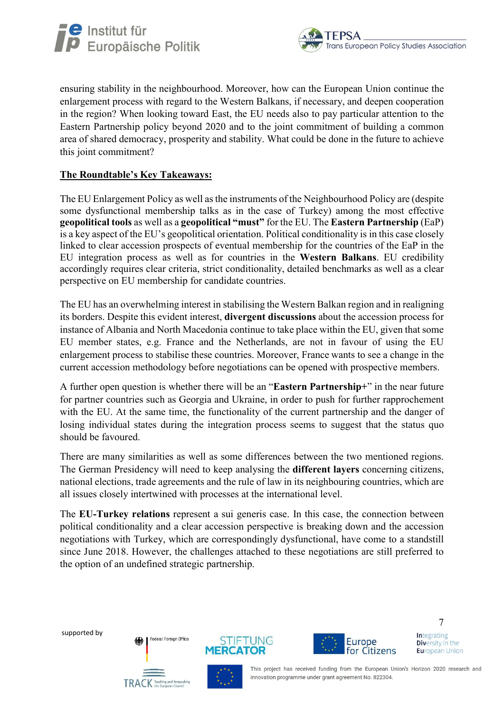



ensuring stability in the neighbourhood. Moreover, how can the European Union continue the enlargement process with regard to the Western Balkans, if necessary, and deepen cooperation in the region? When looking toward East, the EU needs also to pay particular attention to the Eastern Partnership policy beyond 2020 and to the joint commitment of building a common area of shared democracy, prosperity and stability. What could be done in the future to achieve this joint commitment?

## The Roundtable's Key Takeaways:

The EU Enlargement Policy as well as the instruments of the Neighbourhood Policy are (despite some dysfunctional membership talks as in the case of Turkey) among the most effective geopolitical tools as well as a geopolitical "must" for the EU. The Eastern Partnership (EaP) is a key aspect of the EU's geopolitical orientation. Political conditionality is in this case closely linked to clear accession prospects of eventual membership for the countries of the EaP in the EU integration process as well as for countries in the Western Balkans. EU credibility accordingly requires clear criteria, strict conditionality, detailed benchmarks as well as a clear perspective on EU membership for candidate countries.

The EU has an overwhelming interest in stabilising the Western Balkan region and in realigning its borders. Despite this evident interest, divergent discussions about the accession process for instance of Albania and North Macedonia continue to take place within the EU, given that some EU member states, e.g. France and the Netherlands, are not in favour of using the EU enlargement process to stabilise these countries. Moreover, France wants to see a change in the current accession methodology before negotiations can be opened with prospective members.

A further open question is whether there will be an "Eastern Partnership+" in the near future for partner countries such as Georgia and Ukraine, in order to push for further rapprochement with the EU. At the same time, the functionality of the current partnership and the danger of losing individual states during the integration process seems to suggest that the status quo should be favoured.

There are many similarities as well as some differences between the two mentioned regions. The German Presidency will need to keep analysing the different layers concerning citizens, national elections, trade agreements and the rule of law in its neighbouring countries, which are all issues closely intertwined with processes at the international level.

The EU-Turkey relations represent a sui generis case. In this case, the connection between political conditionality and a clear accession perspective is breaking down and the accession negotiations with Turkey, which are correspondingly dysfunctional, have come to a standstill since June 2018. However, the challenges attached to these negotiations are still preferred to the option of an undefined strategic partnership.

supported by







7 **Integrating** Diversity in the **European Union**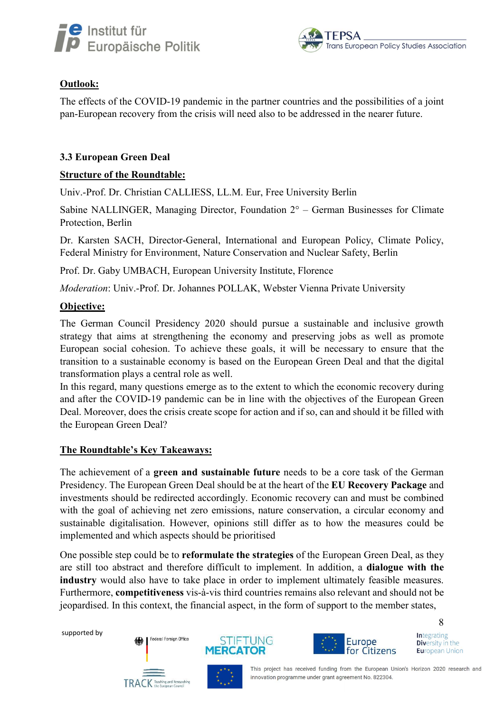



## Outlook:

The effects of the COVID-19 pandemic in the partner countries and the possibilities of a joint pan-European recovery from the crisis will need also to be addressed in the nearer future.

## 3.3 European Green Deal

### Structure of the Roundtable:

Univ.-Prof. Dr. Christian CALLIESS, LL.M. Eur, Free University Berlin

Sabine NALLINGER, Managing Director, Foundation  $2^\circ$  – German Businesses for Climate Protection, Berlin

Dr. Karsten SACH, Director-General, International and European Policy, Climate Policy, Federal Ministry for Environment, Nature Conservation and Nuclear Safety, Berlin

Prof. Dr. Gaby UMBACH, European University Institute, Florence

Moderation: Univ.-Prof. Dr. Johannes POLLAK, Webster Vienna Private University

### Objective:

The German Council Presidency 2020 should pursue a sustainable and inclusive growth strategy that aims at strengthening the economy and preserving jobs as well as promote European social cohesion. To achieve these goals, it will be necessary to ensure that the transition to a sustainable economy is based on the European Green Deal and that the digital transformation plays a central role as well.

In this regard, many questions emerge as to the extent to which the economic recovery during and after the COVID-19 pandemic can be in line with the objectives of the European Green Deal. Moreover, does the crisis create scope for action and if so, can and should it be filled with the European Green Deal?

#### The Roundtable's Key Takeaways:

The achievement of a green and sustainable future needs to be a core task of the German Presidency. The European Green Deal should be at the heart of the EU Recovery Package and investments should be redirected accordingly. Economic recovery can and must be combined with the goal of achieving net zero emissions, nature conservation, a circular economy and sustainable digitalisation. However, opinions still differ as to how the measures could be implemented and which aspects should be prioritised

One possible step could be to reformulate the strategies of the European Green Deal, as they are still too abstract and therefore difficult to implement. In addition, a dialogue with the industry would also have to take place in order to implement ultimately feasible measures. Furthermore, competitiveness vis-à-vis third countries remains also relevant and should not be jeopardised. In this context, the financial aspect, in the form of support to the member states,

supported by







**Integrating** Diversity in the **European Union** 

8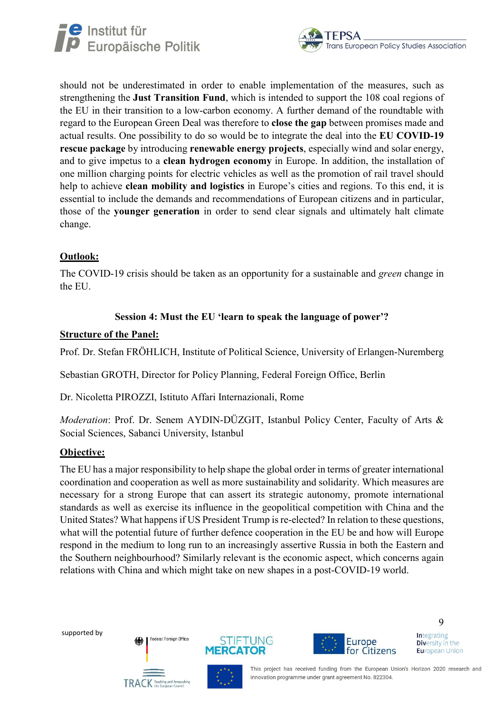



should not be underestimated in order to enable implementation of the measures, such as strengthening the Just Transition Fund, which is intended to support the 108 coal regions of the EU in their transition to a low-carbon economy. A further demand of the roundtable with regard to the European Green Deal was therefore to close the gap between promises made and actual results. One possibility to do so would be to integrate the deal into the EU COVID-19 rescue package by introducing renewable energy projects, especially wind and solar energy, and to give impetus to a clean hydrogen economy in Europe. In addition, the installation of one million charging points for electric vehicles as well as the promotion of rail travel should help to achieve **clean mobility and logistics** in Europe's cities and regions. To this end, it is essential to include the demands and recommendations of European citizens and in particular, those of the younger generation in order to send clear signals and ultimately halt climate change.

## Outlook:

The COVID-19 crisis should be taken as an opportunity for a sustainable and green change in the EU.

## Session 4: Must the EU 'learn to speak the language of power'?

## Structure of the Panel:

Prof. Dr. Stefan FRÖHLICH, Institute of Political Science, University of Erlangen-Nuremberg

Sebastian GROTH, Director for Policy Planning, Federal Foreign Office, Berlin

Dr. Nicoletta PIROZZI, Istituto Affari Internazionali, Rome

Moderation: Prof. Dr. Senem AYDIN-DÜZGIT, Istanbul Policy Center, Faculty of Arts & Social Sciences, Sabanci University, Istanbul

## Objective:

The EU has a major responsibility to help shape the global order in terms of greater international coordination and cooperation as well as more sustainability and solidarity. Which measures are necessary for a strong Europe that can assert its strategic autonomy, promote international standards as well as exercise its influence in the geopolitical competition with China and the United States? What happens if US President Trump is re-elected? In relation to these questions, what will the potential future of further defence cooperation in the EU be and how will Europe respond in the medium to long run to an increasingly assertive Russia in both the Eastern and the Southern neighbourhood? Similarly relevant is the economic aspect, which concerns again relations with China and which might take on new shapes in a post-COVID-19 world.

supported by







**Integrating** Diversity in the **European Union** 

9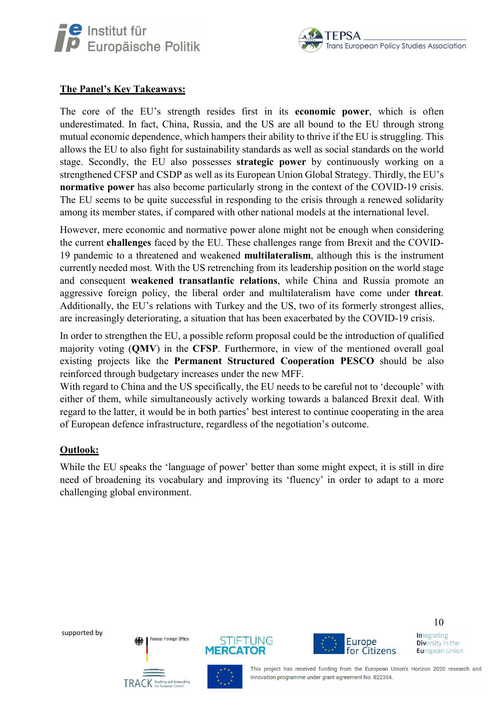



## The Panel's Key Takeaways:

The core of the EU's strength resides first in its economic power, which is often underestimated. In fact, China, Russia, and the US are all bound to the EU through strong mutual economic dependence, which hampers their ability to thrive if the EU is struggling. This allows the EU to also fight for sustainability standards as well as social standards on the world stage. Secondly, the EU also possesses strategic power by continuously working on a strengthened CFSP and CSDP as well as its European Union Global Strategy. Thirdly, the EU's normative power has also become particularly strong in the context of the COVID-19 crisis. The EU seems to be quite successful in responding to the crisis through a renewed solidarity among its member states, if compared with other national models at the international level.

However, mere economic and normative power alone might not be enough when considering the current challenges faced by the EU. These challenges range from Brexit and the COVID-19 pandemic to a threatened and weakened multilateralism, although this is the instrument currently needed most. With the US retrenching from its leadership position on the world stage and consequent weakened transatlantic relations, while China and Russia promote an aggressive foreign policy, the liberal order and multilateralism have come under threat. Additionally, the EU's relations with Turkey and the US, two of its formerly strongest allies, are increasingly deteriorating, a situation that has been exacerbated by the COVID-19 crisis.

In order to strengthen the EU, a possible reform proposal could be the introduction of qualified majority voting (QMV) in the CFSP. Furthermore, in view of the mentioned overall goal existing projects like the Permanent Structured Cooperation PESCO should be also reinforced through budgetary increases under the new MFF.

With regard to China and the US specifically, the EU needs to be careful not to 'decouple' with either of them, while simultaneously actively working towards a balanced Brexit deal. With regard to the latter, it would be in both parties' best interest to continue cooperating in the area of European defence infrastructure, regardless of the negotiation's outcome.

#### Outlook:

While the EU speaks the 'language of power' better than some might expect, it is still in dire need of broadening its vocabulary and improving its 'fluency' in order to adapt to a more challenging global environment.

supported by







**Integrating Diversity in the European Union** 

10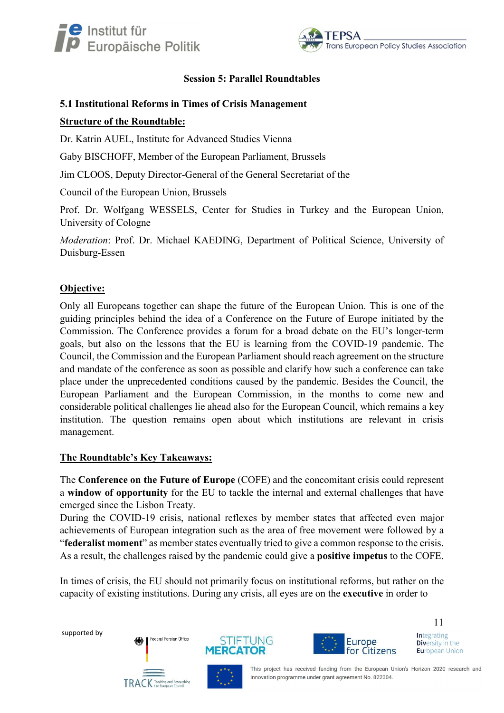



### Session 5: Parallel Roundtables

#### 5.1 Institutional Reforms in Times of Crisis Management

### Structure of the Roundtable:

Dr. Katrin AUEL, Institute for Advanced Studies Vienna

Gaby BISCHOFF, Member of the European Parliament, Brussels

Jim CLOOS, Deputy Director-General of the General Secretariat of the

Council of the European Union, Brussels

Prof. Dr. Wolfgang WESSELS, Center for Studies in Turkey and the European Union, University of Cologne

Moderation: Prof. Dr. Michael KAEDING, Department of Political Science, University of Duisburg-Essen

## Objective:

Only all Europeans together can shape the future of the European Union. This is one of the guiding principles behind the idea of a Conference on the Future of Europe initiated by the Commission. The Conference provides a forum for a broad debate on the EU's longer-term goals, but also on the lessons that the EU is learning from the COVID-19 pandemic. The Council, the Commission and the European Parliament should reach agreement on the structure and mandate of the conference as soon as possible and clarify how such a conference can take place under the unprecedented conditions caused by the pandemic. Besides the Council, the European Parliament and the European Commission, in the months to come new and considerable political challenges lie ahead also for the European Council, which remains a key institution. The question remains open about which institutions are relevant in crisis management.

## The Roundtable's Key Takeaways:

The Conference on the Future of Europe (COFE) and the concomitant crisis could represent a window of opportunity for the EU to tackle the internal and external challenges that have emerged since the Lisbon Treaty.

During the COVID-19 crisis, national reflexes by member states that affected even major achievements of European integration such as the area of free movement were followed by a "federalist moment" as member states eventually tried to give a common response to the crisis. As a result, the challenges raised by the pandemic could give a **positive impetus** to the COFE.

In times of crisis, the EU should not primarily focus on institutional reforms, but rather on the capacity of existing institutions. During any crisis, all eyes are on the executive in order to

supported by







**Integrating Diversity in the European Union** 

11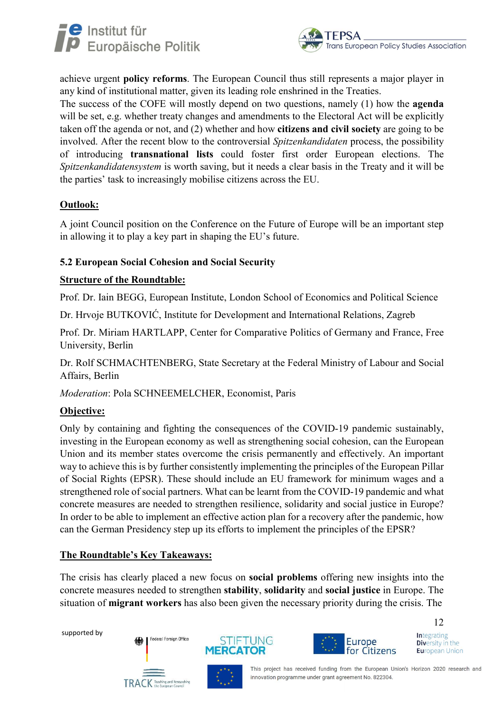



achieve urgent policy reforms. The European Council thus still represents a major player in any kind of institutional matter, given its leading role enshrined in the Treaties.

The success of the COFE will mostly depend on two questions, namely (1) how the agenda will be set, e.g. whether treaty changes and amendments to the Electoral Act will be explicitly taken off the agenda or not, and (2) whether and how citizens and civil society are going to be involved. After the recent blow to the controversial *Spitzenkandidaten* process, the possibility of introducing transnational lists could foster first order European elections. The Spitzenkandidatensystem is worth saving, but it needs a clear basis in the Treaty and it will be the parties' task to increasingly mobilise citizens across the EU.

## Outlook:

A joint Council position on the Conference on the Future of Europe will be an important step in allowing it to play a key part in shaping the EU's future.

## 5.2 European Social Cohesion and Social Security

## Structure of the Roundtable:

Prof. Dr. Iain BEGG, European Institute, London School of Economics and Political Science

Dr. Hrvoje BUTKOVIĆ, Institute for Development and International Relations, Zagreb

Prof. Dr. Miriam HARTLAPP, Center for Comparative Politics of Germany and France, Free University, Berlin

Dr. Rolf SCHMACHTENBERG, State Secretary at the Federal Ministry of Labour and Social Affairs, Berlin

Moderation: Pola SCHNEEMELCHER, Economist, Paris

## Objective:

Only by containing and fighting the consequences of the COVID-19 pandemic sustainably, investing in the European economy as well as strengthening social cohesion, can the European Union and its member states overcome the crisis permanently and effectively. An important way to achieve this is by further consistently implementing the principles of the European Pillar of Social Rights (EPSR). These should include an EU framework for minimum wages and a strengthened role of social partners. What can be learnt from the COVID-19 pandemic and what concrete measures are needed to strengthen resilience, solidarity and social justice in Europe? In order to be able to implement an effective action plan for a recovery after the pandemic, how can the German Presidency step up its efforts to implement the principles of the EPSR?

## The Roundtable's Key Takeaways:

The crisis has clearly placed a new focus on social problems offering new insights into the concrete measures needed to strengthen stability, solidarity and social justice in Europe. The situation of **migrant workers** has also been given the necessary priority during the crisis. The

supported by







**Integrating Diversity in the European Union** 

12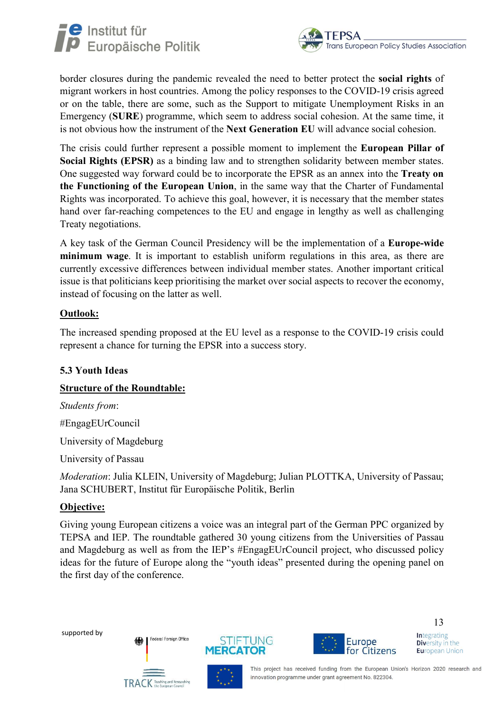



border closures during the pandemic revealed the need to better protect the social rights of migrant workers in host countries. Among the policy responses to the COVID-19 crisis agreed or on the table, there are some, such as the Support to mitigate Unemployment Risks in an Emergency (SURE) programme, which seem to address social cohesion. At the same time, it is not obvious how the instrument of the Next Generation EU will advance social cohesion.

The crisis could further represent a possible moment to implement the European Pillar of Social Rights (EPSR) as a binding law and to strengthen solidarity between member states. One suggested way forward could be to incorporate the EPSR as an annex into the Treaty on the Functioning of the European Union, in the same way that the Charter of Fundamental Rights was incorporated. To achieve this goal, however, it is necessary that the member states hand over far-reaching competences to the EU and engage in lengthy as well as challenging Treaty negotiations.

A key task of the German Council Presidency will be the implementation of a Europe-wide minimum wage. It is important to establish uniform regulations in this area, as there are currently excessive differences between individual member states. Another important critical issue is that politicians keep prioritising the market over social aspects to recover the economy, instead of focusing on the latter as well.

### Outlook:

The increased spending proposed at the EU level as a response to the COVID-19 crisis could represent a chance for turning the EPSR into a success story.

## 5.3 Youth Ideas

## Structure of the Roundtable:

Students from:

#EngagEUrCouncil

University of Magdeburg

University of Passau

Moderation: Julia KLEIN, University of Magdeburg; Julian PLOTTKA, University of Passau; Jana SCHUBERT, Institut für Europäische Politik, Berlin

## Objective:

Giving young European citizens a voice was an integral part of the German PPC organized by TEPSA and IEP. The roundtable gathered 30 young citizens from the Universities of Passau and Magdeburg as well as from the IEP's #EngagEUrCouncil project, who discussed policy ideas for the future of Europe along the "youth ideas" presented during the opening panel on the first day of the conference.

supported by







**Integrating Diversity in the European Union** 

13